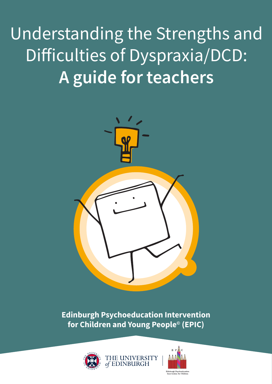Understanding the Strengths and Difficulties of Dyspraxia/DCD: **A guide for teachers**



**Edinburgh Psychoeducation Intervention for Children and Young People© (EPIC)**



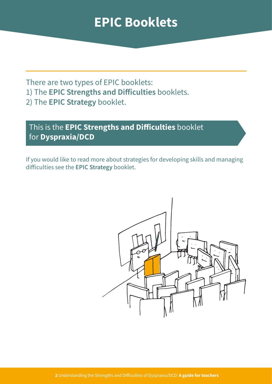#### **EPIC Booklets**

There are two types of EPIC booklets:

- 1) The **EPIC Strengths and Difficulties** booklets.
- 2) The **EPIC Strategy** booklet.

#### This is the **EPIC Strengths and Difficulties** booklet for **Dyspraxia/DCD**

If you would like to read more about strategies for developing skills and managing difficulties see the **EPIC Strategy** booklet.

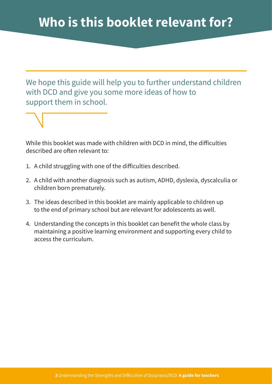We hope this guide will help you to further understand children with DCD and give you some more ideas of how to support them in school.

While this booklet was made with children with DCD in mind, the difficulties described are often relevant to:

- 1. A child struggling with one of the difficulties described.
- 2. A child with another diagnosis such as autism, ADHD, dyslexia, dyscalculia or children born prematurely.
- 3. The ideas described in this booklet are mainly applicable to children up to the end of primary school but are relevant for adolescents as well.
- 4. Understanding the concepts in this booklet can benefit the whole class by maintaining a positive learning environment and supporting every child to access the curriculum.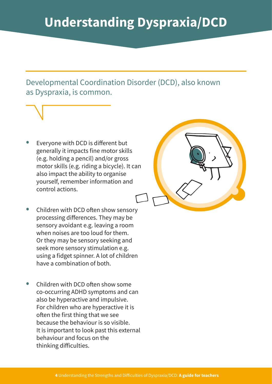Developmental Coordination Disorder (DCD), also known as Dyspraxia, is common.

Everyone with DCD is different but generally it impacts fine motor skills (e.g. holding a pencil) and/or gross motor skills (e.g. riding a bicycle). It can also impact the ability to organise yourself, remember information and control actions.



- Children with DCD often show sensory processing differences. They may be sensory avoidant e.g. leaving a room when noises are too loud for them. Or they may be sensory seeking and seek more sensory stimulation e.g. using a fidget spinner. A lot of children have a combination of both.
- Children with DCD often show some co-occurring ADHD symptoms and can also be hyperactive and impulsive. For children who are hyperactive it is often the first thing that we see because the behaviour is so visible. It is important to look past this external behaviour and focus on the thinking difficulties.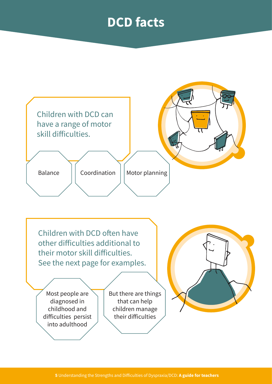#### **DCD facts**

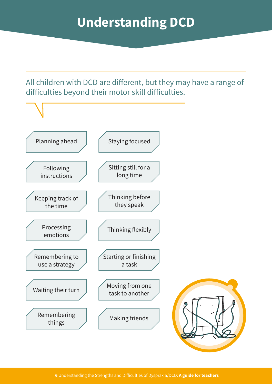All children with DCD are different, but they may have a range of difficulties beyond their motor skill difficulties.

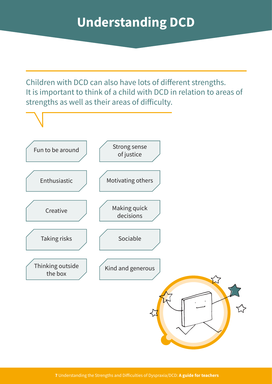Children with DCD can also have lots of different strengths. It is important to think of a child with DCD in relation to areas of strengths as well as their areas of difficulty.

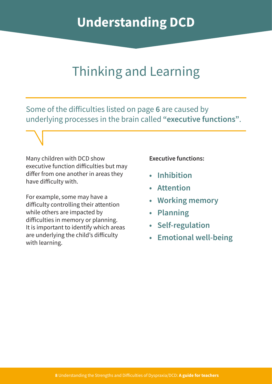#### Thinking and Learning

Some of the difficulties listed on page **6** are caused by underlying processes in the brain called **"executive functions"**.

Many children with DCD show executive function difficulties but may differ from one another in areas they have difficulty with.

For example, some may have a difficulty controlling their attention while others are impacted by difficulties in memory or planning. It is important to identify which areas are underlying the child's difficulty with learning.

**Executive functions:**

- **• Inhibition**
- **• Attention**
- **• Working memory**
- **• Planning**
- **• Self-regulation**
- **• Emotional well-being**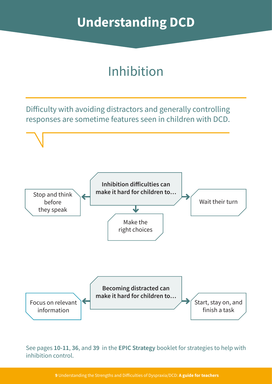# Inhibition

Difficulty with avoiding distractors and generally controlling responses are sometime features seen in children with DCD.



See pages **10-11**, **36**, and **39** in the **EPIC Strategy** booklet for strategies to help with inhibition control.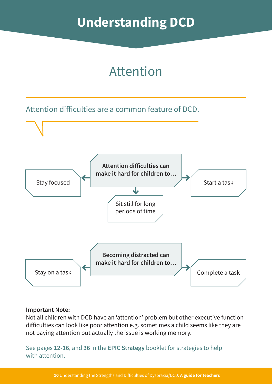#### Attention

Attention difficulties are a common feature of DCD.



#### **Important Note:**

Not all children with DCD have an 'attention' problem but other executive function difficulties can look like poor attention e.g. sometimes a child seems like they are not paying attention but actually the issue is working memory.

See pages **12-16**, and **36** in the **EPIC Strategy** booklet for strategies to help with attention.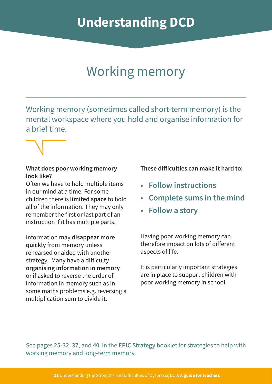### Working memory

Working memory (sometimes called short-term memory) is the mental workspace where you hold and organise information for a brief time.

#### **What does poor working memory look like?**

Often we have to hold multiple items in our mind at a time. For some children there is **limited space** to hold all of the information. They may only remember the first or last part of an instruction if it has multiple parts.

Information may **disappear more quickly** from memory unless rehearsed or aided with another strategy. Many have a difficulty **organising information in memory** or if asked to reverse the order of information in memory such as in some maths problems e.g. reversing a multiplication sum to divide it.

**These difficulties can make it hard to:**

- **• Follow instructions**
- **• Complete sums in the mind**
- **• Follow a story**

Having poor working memory can therefore impact on lots of different aspects of life.

It is particularly important strategies are in place to support children with poor working memory in school.

See pages **25-32**, **37**, and **40** in the **EPIC Strategy** booklet for strategies to help with working memory and long-term memory.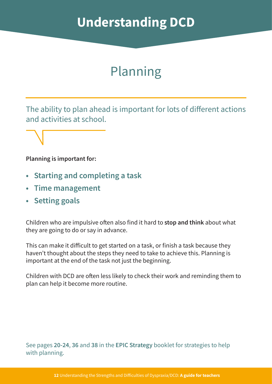### Planning

The ability to plan ahead is important for lots of different actions and activities at school.

#### **Planning is important for:**

- **• Starting and completing a task**
- **• Time management**
- **• Setting goals**

Children who are impulsive often also find it hard to **stop and think** about what they are going to do or say in advance.

This can make it difficult to get started on a task, or finish a task because they haven't thought about the steps they need to take to achieve this. Planning is important at the end of the task not just the beginning.

Children with DCD are often less likely to check their work and reminding them to plan can help it become more routine.

See pages **20-24**, **36** and **38** in the **EPIC Strategy** booklet for strategies to help with planning.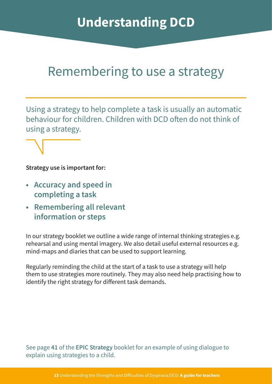#### Remembering to use a strategy

Using a strategy to help complete a task is usually an automatic behaviour for children. Children with DCD often do not think of using a strategy.

**Strategy use is important for:**

- **• Accuracy and speed in completing a task**
- **• Remembering all relevant information or steps**

In our strategy booklet we outline a wide range of internal thinking strategies e.g. rehearsal and using mental imagery. We also detail useful external resources e.g. mind-maps and diaries that can be used to support learning.

Regularly reminding the child at the start of a task to use a strategy will help them to use strategies more routinely. They may also need help practising how to identify the right strategy for different task demands.

See page **41** of the **EPIC Strategy** booklet for an example of using dialogue to explain using strategies to a child.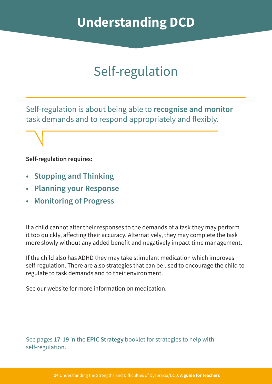# Self-regulation

Self-regulation is about being able to **recognise and monitor** task demands and to respond appropriately and flexibly.

#### **Self-regulation requires:**

- **• Stopping and Thinking**
- **• Planning your Response**
- **• Monitoring of Progress**

If a child cannot alter their responses to the demands of a task they may perform it too quickly, affecting their accuracy. Alternatively, they may complete the task more slowly without any added benefit and negatively impact time management.

If the child also has ADHD they may take stimulant medication which improves self-regulation. There are also strategies that can be used to encourage the child to regulate to task demands and to their environment.

See our website for more information on medication.

See pages **17**-**19** in the **EPIC Strategy** booklet for strategies to help with self-regulation.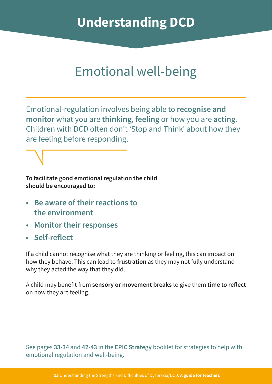#### Emotional well-being

Emotional-regulation involves being able to **recognise and monitor** what you are **thinking**, **feeling** or how you are **acting**. Children with DCD often don't 'Stop and Think' about how they are feeling before responding.

**To facilitate good emotional regulation the child should be encouraged to:**

- **• Be aware of their reactions to the environment**
- **• Monitor their responses**
- **• Self-reflect**

If a child cannot recognise what they are thinking or feeling, this can impact on how they behave. This can lead to **frustration** as they may not fully understand why they acted the way that they did.

A child may benefit from **sensory or movement breaks** to give them **time to reflect** on how they are feeling.

See pages **33-34** and **42-43** in the **EPIC Strategy** booklet for strategies to help with emotional regulation and well-being.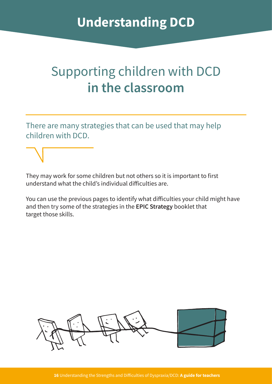### Supporting children with DCD **in the classroom**

There are many strategies that can be used that may help children with DCD.

They may work for some children but not others so it is important to first understand what the child's individual difficulties are.

You can use the previous pages to identify what difficulties your child might have and then try some of the strategies in the **EPIC Strategy** booklet that target those skills.